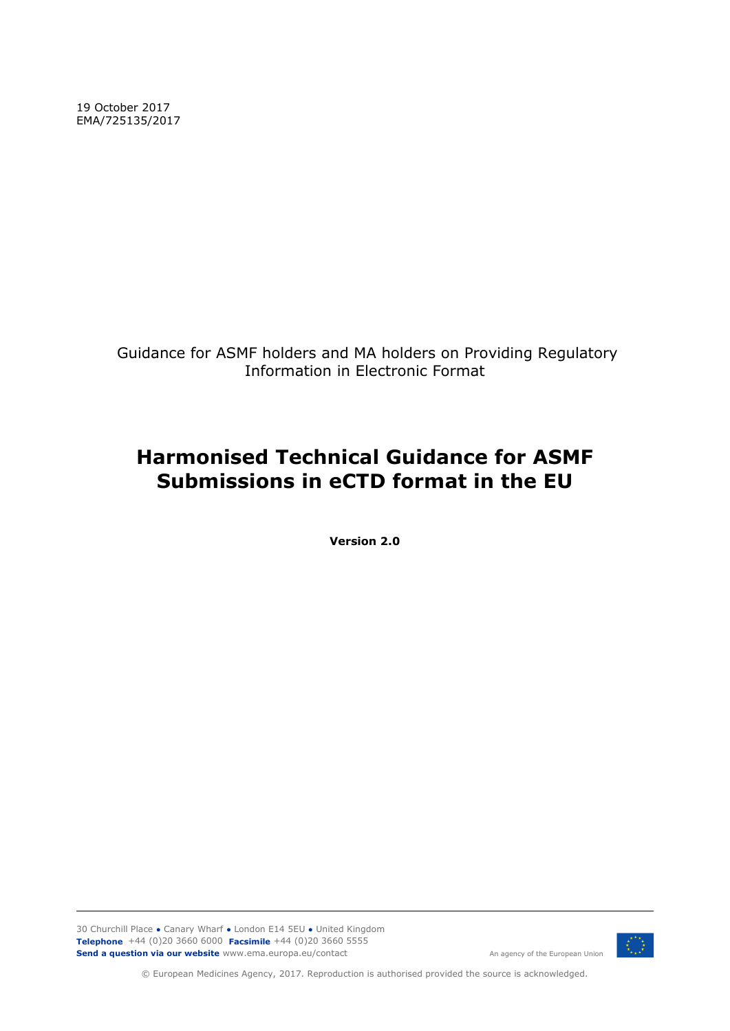19 October 2017 EMA/725135/2017

> Guidance for ASMF holders and MA holders on Providing Regulatory Information in Electronic Format

# **Harmonised Technical Guidance for ASMF Submissions in eCTD format in the EU**

**Version 2.0**

30 Churchill Place **●** Canary Wharf **●** London E14 5EU **●** United Kingdom **Telephone** +44 (0)20 3660 6000 **Facsimile** +44 (0)20 3660 5555 **Send a question via our website** www.ema.europa.eu/contact



An agency of the European Union

© European Medicines Agency, 2017. Reproduction is authorised provided the source is acknowledged.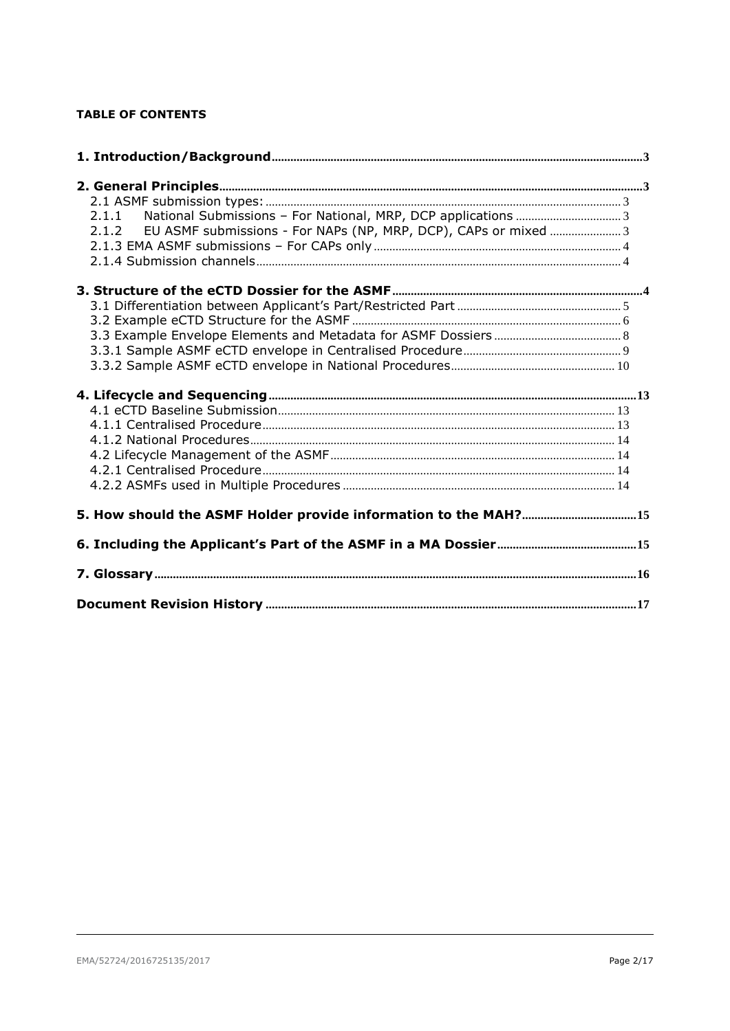## **TABLE OF CONTENTS**

| 2.1.1 National Submissions - For National, MRP, DCP applications  3      |  |
|--------------------------------------------------------------------------|--|
| EU ASMF submissions - For NAPs (NP, MRP, DCP), CAPs or mixed  3<br>2.1.2 |  |
|                                                                          |  |
|                                                                          |  |
|                                                                          |  |
|                                                                          |  |
|                                                                          |  |
|                                                                          |  |
|                                                                          |  |
|                                                                          |  |
|                                                                          |  |
|                                                                          |  |
|                                                                          |  |
|                                                                          |  |
|                                                                          |  |
|                                                                          |  |
|                                                                          |  |
|                                                                          |  |
|                                                                          |  |
|                                                                          |  |
|                                                                          |  |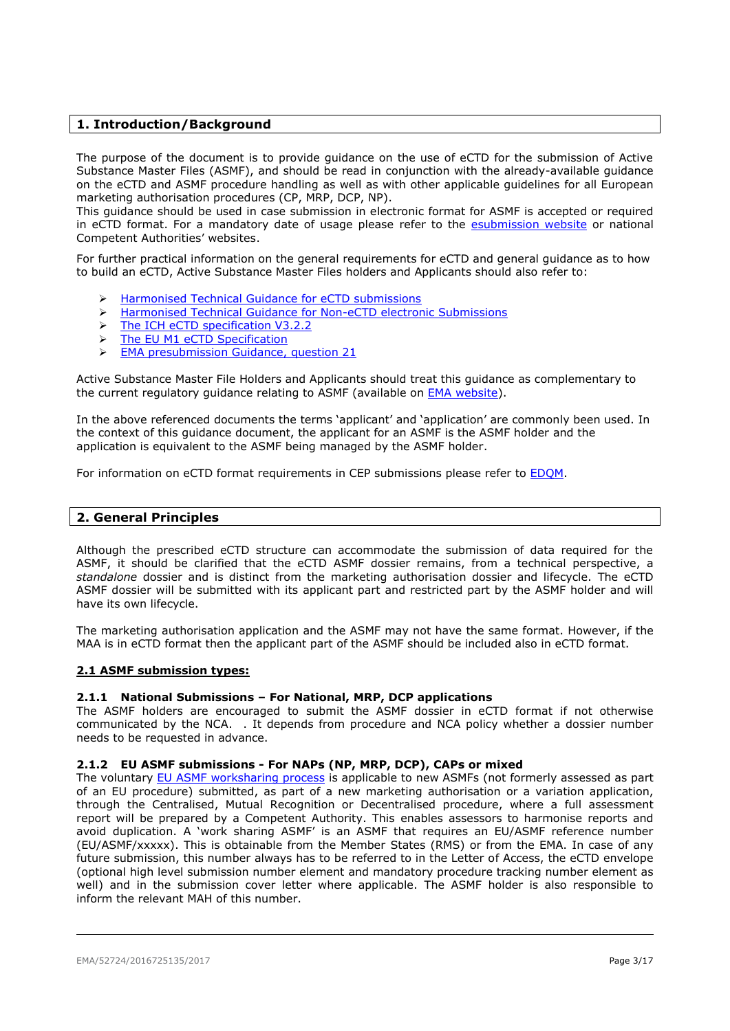## <span id="page-2-0"></span>**1. Introduction/Background**

The purpose of the document is to provide guidance on the use of eCTD for the submission of Active Substance Master Files (ASMF), and should be read in conjunction with the already-available guidance on the eCTD and ASMF procedure handling as well as with other applicable guidelines for all European marketing authorisation procedures (CP, MRP, DCP, NP).

This guidance should be used in case submission in electronic format for ASMF is accepted or required in eCTD format. For a mandatory date of usage please refer to the [esubmission website](http://esubmission.ema.europa.eu/) or national Competent Authorities' websites.

For further practical information on the general requirements for eCTD and general guidance as to how to build an eCTD, Active Substance Master Files holders and Applicants should also refer to:

- [Harmonised Technical Guidance for eCTD submissions](http://esubmission.ema.europa.eu/tiges/docs/eCTD%20Guidance%20v4%200-20160422-final.pdf)
- > [Harmonised Technical Guidance for Non-eCTD electronic Submissions](http://esubmission.ema.europa.eu/tiges/docs/NeeS%20eGuidance%20Document%20v4%200_final%20for%20publication%20Nov%202013.pdf)
- > [The ICH eCTD specification](http://estri.ich.org/eCTD/index.htm) V3.2.2
- > [The EU M1 eCTD Specification](http://esubmission.ema.europa.eu/eumodule1/index.htm)
- [EMA presubmission Guidance, question 21](http://www.ema.europa.eu/ema/index.jsp?curl=pages/regulation/q_and_a/q_and_a_detail_000059.jsp&mid=WC0b01ac058002d9ad)

Active Substance Master File Holders and Applicants should treat this guidance as complementary to the current regulatory guidance relating to ASMF (available on **EMA** website).

In the above referenced documents the terms 'applicant' and 'application' are commonly been used. In the context of this guidance document, the applicant for an ASMF is the ASMF holder and the application is equivalent to the ASMF being managed by the ASMF holder.

For information on eCTD format requirements in CEP submissions please refer to **EDQM**.

## <span id="page-2-1"></span>**2. General Principles**

Although the prescribed eCTD structure can accommodate the submission of data required for the ASMF, it should be clarified that the eCTD ASMF dossier remains, from a technical perspective, a *standalone* dossier and is distinct from the marketing authorisation dossier and lifecycle. The eCTD ASMF dossier will be submitted with its applicant part and restricted part by the ASMF holder and will have its own lifecycle.

The marketing authorisation application and the ASMF may not have the same format. However, if the MAA is in eCTD format then the applicant part of the ASMF should be included also in eCTD format.

## <span id="page-2-2"></span>**2.1 ASMF submission types:**

## <span id="page-2-3"></span>**2.1.1 National Submissions – For National, MRP, DCP applications**

The ASMF holders are encouraged to submit the ASMF dossier in eCTD format if not otherwise communicated by the NCA. . It depends from procedure and NCA policy whether a dossier number needs to be requested in advance.

## <span id="page-2-4"></span>**2.1.2 EU ASMF submissions - For NAPs (NP, MRP, DCP), CAPs or mixed**

The voluntary [EU ASMF worksharing process](http://www.hma.eu/306.html) is applicable to new ASMFs (not formerly assessed as part of an EU procedure) submitted, as part of a new marketing authorisation or a variation application, through the Centralised, Mutual Recognition or Decentralised procedure, where a full assessment report will be prepared by a Competent Authority. This enables assessors to harmonise reports and avoid duplication. A 'work sharing ASMF' is an ASMF that requires an EU/ASMF reference number (EU/ASMF/xxxxx). This is obtainable from the Member States (RMS) or from the EMA. In case of any future submission, this number always has to be referred to in the Letter of Access, the eCTD envelope (optional high level submission number element and mandatory procedure tracking number element as well) and in the submission cover letter where applicable. The ASMF holder is also responsible to inform the relevant MAH of this number.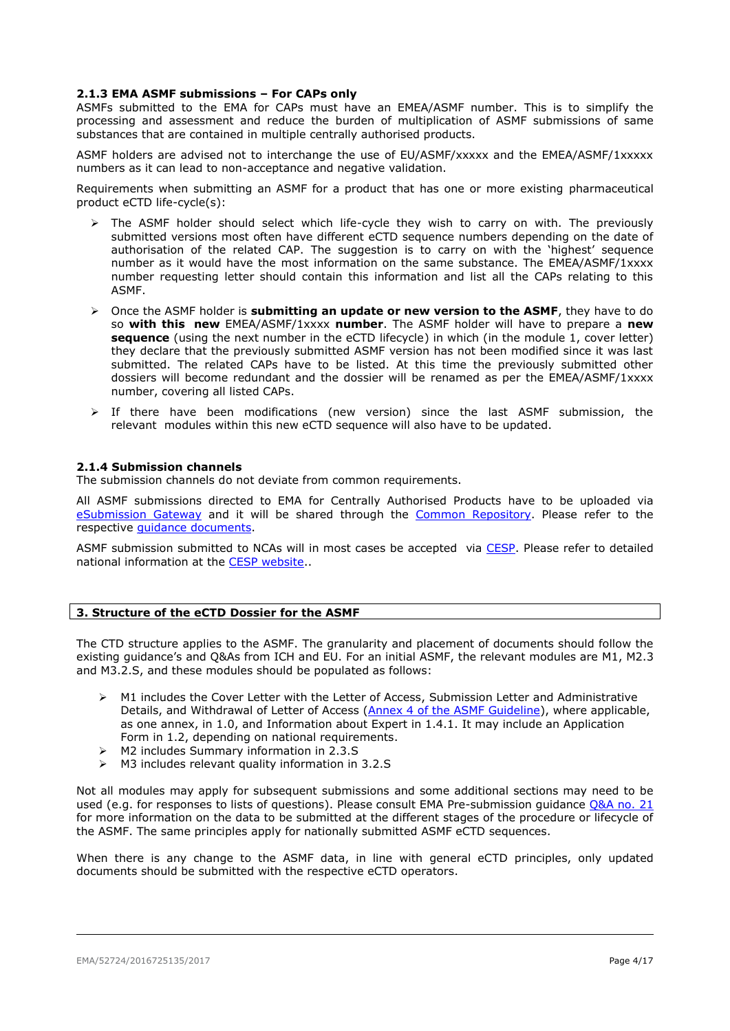## <span id="page-3-0"></span>**2.1.3 EMA ASMF submissions – For CAPs only**

ASMFs submitted to the EMA for CAPs must have an EMEA/ASMF number. This is to simplify the processing and assessment and reduce the burden of multiplication of ASMF submissions of same substances that are contained in multiple centrally authorised products.

ASMF holders are advised not to interchange the use of EU/ASMF/xxxxx and the EMEA/ASMF/1xxxxx numbers as it can lead to non-acceptance and negative validation.

Requirements when submitting an ASMF for a product that has one or more existing pharmaceutical product eCTD life-cycle(s):

- $\geq$  The ASMF holder should select which life-cycle they wish to carry on with. The previously submitted versions most often have different eCTD sequence numbers depending on the date of authorisation of the related CAP. The suggestion is to carry on with the 'highest' sequence number as it would have the most information on the same substance. The EMEA/ASMF/1xxxx number requesting letter should contain this information and list all the CAPs relating to this ASMF.
- Once the ASMF holder is **submitting an update or new version to the ASMF**, they have to do so **with this new** EMEA/ASMF/1xxxx **number**. The ASMF holder will have to prepare a **new sequence** (using the next number in the eCTD lifecycle) in which (in the module 1, cover letter) they declare that the previously submitted ASMF version has not been modified since it was last submitted. The related CAPs have to be listed. At this time the previously submitted other dossiers will become redundant and the dossier will be renamed as per the EMEA/ASMF/1xxxx number, covering all listed CAPs.
- $\triangleright$  If there have been modifications (new version) since the last ASMF submission, the relevant modules within this new eCTD sequence will also have to be updated.

#### <span id="page-3-1"></span>**2.1.4 Submission channels**

The submission channels do not deviate from common requirements.

All ASMF submissions directed to EMA for Centrally Authorised Products have to be uploaded via [eSubmission Gateway](http://esubmission.ema.europa.eu/esubmission.html) and it will be shared through the [Common Repository.](http://esubmission.ema.europa.eu/central_repository.HTML) Please refer to the respective [guidance documents.](http://esubmission.ema.europa.eu/esubmission.html)

ASMF submission submitted to NCAs will in most cases be accepted via [CESP.](https://cespportal.hma.eu/Account/Login?ReturnUrl=%2f) Please refer to detailed national information at the [CESP website.](https://cespportal.hma.eu/Public/Contacts).

## <span id="page-3-2"></span>**3. Structure of the eCTD Dossier for the ASMF**

The CTD structure applies to the ASMF. The granularity and placement of documents should follow the existing guidance's and Q&As from ICH and EU. For an initial ASMF, the relevant modules are M1, M2.3 and M3.2.S, and these modules should be populated as follows:

- M1 includes the Cover Letter with the Letter of Access, Submission Letter and Administrative Details, and Withdrawal of Letter of Access [\(Annex 4 of the ASMF Guideline\)](http://www.ema.europa.eu/docs/en_GB/document_library/Template_or_form/2012/07/WC500129998.doc), where applicable, as one annex, in 1.0, and Information about Expert in 1.4.1. It may include an Application Form in 1.2, depending on national requirements.
- M2 includes Summary information in 2.3.S
- M3 includes relevant quality information in 3.2.S

Not all modules may apply for subsequent submissions and some additional sections may need to be used (e.g. for responses to lists of questions). Please consult EMA Pre-submission guidance [Q&A no. 21](http://www.ema.europa.eu/ema/index.jsp?curl=pages/regulation/q_and_a/q_and_a_detail_000059.jsp&mid=WC0b01ac058002d9aad) for more information on the data to be submitted at the different stages of the procedure or lifecycle of the ASMF. The same principles apply for nationally submitted ASMF eCTD sequences.

When there is any change to the ASMF data, in line with general eCTD principles, only updated documents should be submitted with the respective eCTD operators.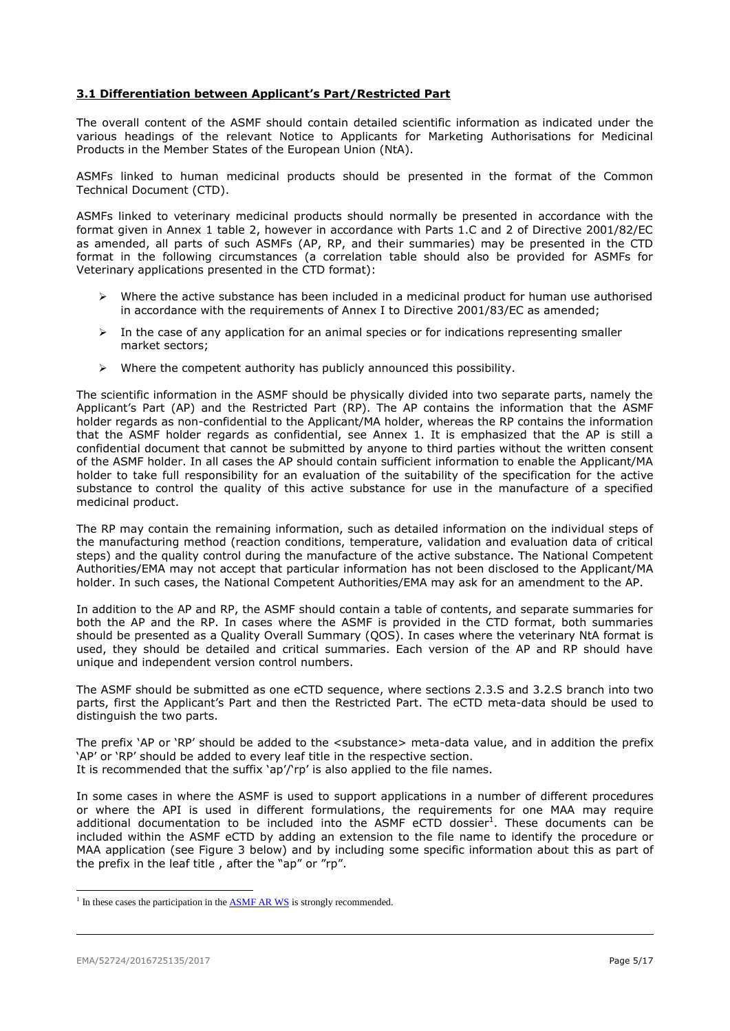## <span id="page-4-0"></span>**3.1 Differentiation between Applicant's Part/Restricted Part**

The overall content of the ASMF should contain detailed scientific information as indicated under the various headings of the relevant Notice to Applicants for Marketing Authorisations for Medicinal Products in the Member States of the European Union (NtA).

ASMFs linked to human medicinal products should be presented in the format of the Common Technical Document (CTD).

ASMFs linked to veterinary medicinal products should normally be presented in accordance with the format given in Annex 1 table 2, however in accordance with Parts 1.C and 2 of Directive 2001/82/EC as amended, all parts of such ASMFs (AP, RP, and their summaries) may be presented in the CTD format in the following circumstances (a correlation table should also be provided for ASMFs for Veterinary applications presented in the CTD format):

- $\triangleright$  Where the active substance has been included in a medicinal product for human use authorised in accordance with the requirements of Annex I to Directive 2001/83/EC as amended;
- $\triangleright$  In the case of any application for an animal species or for indications representing smaller market sectors;
- $\triangleright$  Where the competent authority has publicly announced this possibility.

The scientific information in the ASMF should be physically divided into two separate parts, namely the Applicant's Part (AP) and the Restricted Part (RP). The AP contains the information that the ASMF holder regards as non-confidential to the Applicant/MA holder, whereas the RP contains the information that the ASMF holder regards as confidential, see Annex 1. It is emphasized that the AP is still a confidential document that cannot be submitted by anyone to third parties without the written consent of the ASMF holder. In all cases the AP should contain sufficient information to enable the Applicant/MA holder to take full responsibility for an evaluation of the suitability of the specification for the active substance to control the quality of this active substance for use in the manufacture of a specified medicinal product.

The RP may contain the remaining information, such as detailed information on the individual steps of the manufacturing method (reaction conditions, temperature, validation and evaluation data of critical steps) and the quality control during the manufacture of the active substance. The National Competent Authorities/EMA may not accept that particular information has not been disclosed to the Applicant/MA holder. In such cases, the National Competent Authorities/EMA may ask for an amendment to the AP.

In addition to the AP and RP, the ASMF should contain a table of contents, and separate summaries for both the AP and the RP. In cases where the ASMF is provided in the CTD format, both summaries should be presented as a Quality Overall Summary (QOS). In cases where the veterinary NtA format is used, they should be detailed and critical summaries. Each version of the AP and RP should have unique and independent version control numbers.

The ASMF should be submitted as one eCTD sequence, where sections 2.3.S and 3.2.S branch into two parts, first the Applicant's Part and then the Restricted Part. The eCTD meta-data should be used to distinguish the two parts.

The prefix 'AP or 'RP' should be added to the <substance> meta-data value, and in addition the prefix 'AP' or 'RP' should be added to every leaf title in the respective section.

It is recommended that the suffix 'ap'/'rp' is also applied to the file names.

In some cases in where the ASMF is used to support applications in a number of different procedures or where the API is used in different formulations, the requirements for one MAA may require additional documentation to be included into the ASMF eCTD dossier<sup>1</sup>. These documents can be included within the ASMF eCTD by adding an extension to the file name to identify the procedure or MAA application (see Figure 3 below) and by including some specific information about this as part of the prefix in the leaf title , after the "ap" or "rp".

l

<sup>&</sup>lt;sup>1</sup> In these cases the participation in the  $\overline{ASMF}$  AR WS is strongly recommended.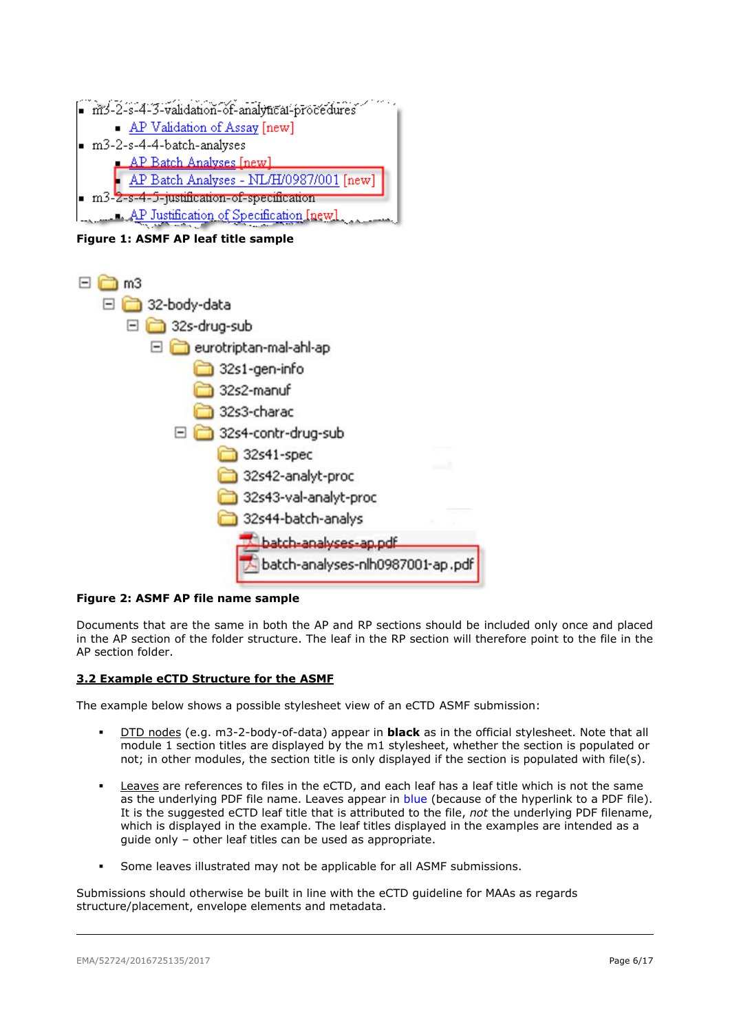

**Figure 1: ASMF AP leaf title sample**



## **Figure 2: ASMF AP file name sample**

Documents that are the same in both the AP and RP sections should be included only once and placed in the AP section of the folder structure. The leaf in the RP section will therefore point to the file in the AP section folder.

## <span id="page-5-0"></span>**3.2 Example eCTD Structure for the ASMF**

The example below shows a possible stylesheet view of an eCTD ASMF submission:

- DTD nodes (e.g. m3-2-body-of-data) appear in **black** as in the official stylesheet. Note that all module 1 section titles are displayed by the m1 stylesheet, whether the section is populated or not; in other modules, the section title is only displayed if the section is populated with file(s).
- Leaves are references to files in the eCTD, and each leaf has a leaf title which is not the same as the underlying PDF file name. Leaves appear in blue (because of the hyperlink to a PDF file). It is the suggested eCTD leaf title that is attributed to the file, *not* the underlying PDF filename, which is displayed in the example. The leaf titles displayed in the examples are intended as a guide only – other leaf titles can be used as appropriate.
- Some leaves illustrated may not be applicable for all ASMF submissions.

Submissions should otherwise be built in line with the eCTD guideline for MAAs as regards structure/placement, envelope elements and metadata.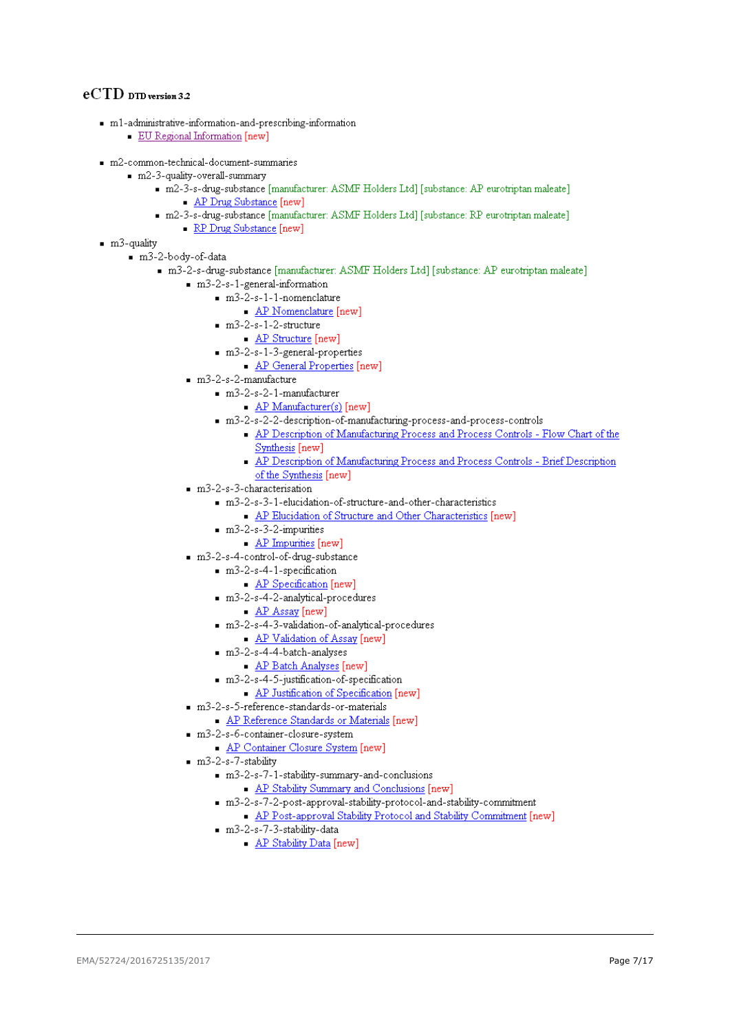## eCTD DTD version 3.2

- m1-administrative-information-and-prescribing-information
	- EU Regional Information [new]
- m2-common-technical-document-summaries
	- m2-3-quality-overall-summary
		- m2-3-s-drug-substance [manufacturer: ASMF Holders Ltd] [substance: AP eurotriptan maleate] - AP Drug Substance [new]
		- m2-3-s-drug-substance [manufacturer: ASMF Holders Ltd] [substance: RP eurotriptan maleate]
			- RP Drug Substance [new]
- $m3$ -quality
	- m3-2-body-of-data
		- m3-2-s-drug-substance [manufacturer: ASMF Holders Ltd] [substance: AP eurotriptan maleate]
			- m3-2-s-1-general-information
				- $m3-2-s-1-1-nomenclature$ 
					- AP Nomenclature [new]
					- $m3-2-s-1-2-structure$ 
						- AP Structure [new]
					- $m3-2-s-1-3$ -general-properties
						- AP General Properties [new]
			- $m3-2-s-2-manufacture$ 
				- $m3-2-s-2-1$ -manufacturer
					- $AP$  Manufacturer(s) [new]
				- m3-2-s-2-2-description-of-manufacturing-process-and-process-controls
					- AP Description of Manufacturing Process and Process Controls Flow Chart of the Synthesis [new]
					- AP Description of Manufacturing Process and Process Controls Brief Description of the Synthesis [new]
				-
			- m3-2-s-3-characterisation
				- m3-2-s-3-1-elucidation-of-structure-and-other-characteristics
					- AP Elucidation of Structure and Other Characteristics [new]
				- $m3-2-s-3-2-impurities$ 
					- AP Impurities [new]
			- m3-2-s-4-control-of-drug-substance
				- m3-2-s-4-1-specification
					- AP Specification [new]
				- m3-2-s-4-2-analytical-procedures
					- AP Assay [new]
				- m3-2-s-4-3-validation-of-analytical-procedures
					- AP Validation of Assay [new]
				- $m3-2-s-4-4-batch-analyses$ 
					- AP Batch Analyses [new]
				- $m3-2-8-4-5-justification-of-specification$ 
					- AP Justification of Specification [new]
			- m3-2-s-5-reference-standards-or-materials
				- AP Reference Standards or Materials [new]
			- m3-2-s-6-container-closure-system
				- AP Container Closure System [new]
			- $m3-2-s-7-stability$ 
				- $m3-2-s-7-1-stability-summary-and-conclusions$ 
					- AP Stability Summary and Conclusions [new]
				- m3-2-s-7-2-post-approval-stability-protocol-and-stability-commitment
				- AP Post-approval Stability Protocol and Stability Commitment [new]
				- $m3-2-s-7-3-stability-data$ 
					- AP Stability Data [new]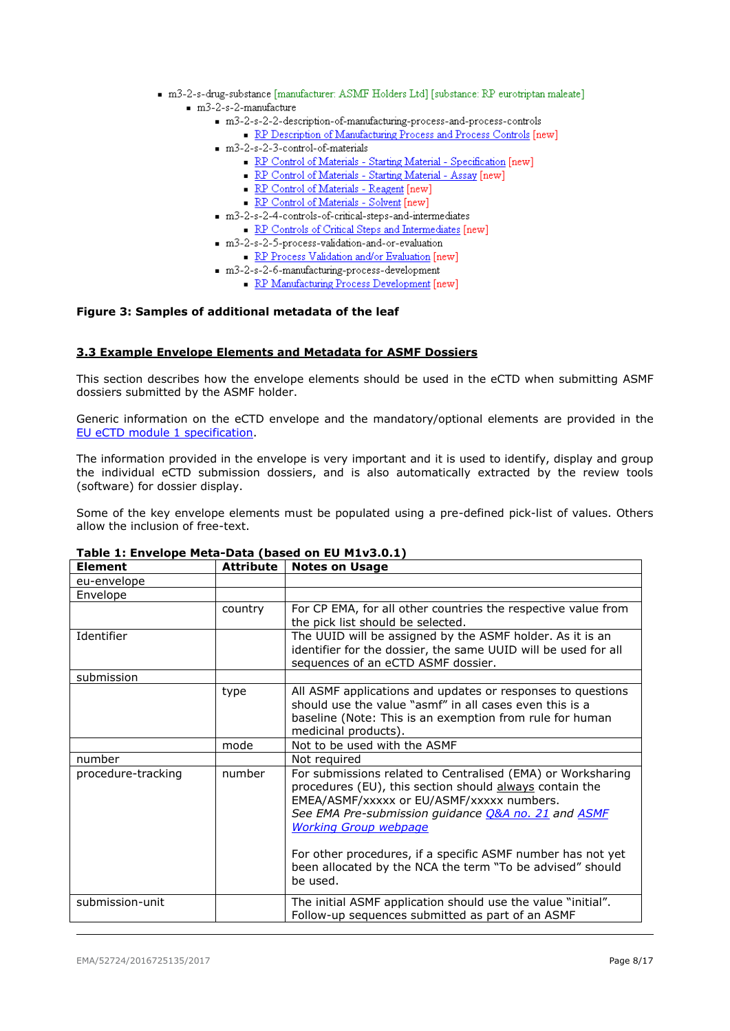- m3-2-s-drug-substance [manufacturer: ASMF Holders Ltd] [substance: RP eurotriptan maleate]  $m3-2-s-2-manufacture$ 
	- m3-2-s-2-2-description-of-manufacturing-process-and-process-controls
		- RP Description of Manufacturing Process and Process Controls [new]
	- $m3-2-s-2-3$ -control-of-materials
		- RP Control of Materials Starting Material Specification [new]
		- RP Control of Materials Starting Material Assay [new]
		- RP Control of Materials Reagent [new]
		- RP Control of Materials Solvent [new]
	- m3-2-s-2-4-controls-of-critical-steps-and-intermediates
	- RP Controls of Critical Steps and Intermediates [new]
	- m3-2-s-2-5-process-validation-and-or-evaluation
		- RP Process Validation and/or Evaluation [new]
	- m3-2-s-2-6-manufacturing-process-development
		- RP Manufacturing Process Development [new]

## **Figure 3: Samples of additional metadata of the leaf**

## <span id="page-7-0"></span>**3.3 Example Envelope Elements and Metadata for ASMF Dossiers**

This section describes how the envelope elements should be used in the eCTD when submitting ASMF dossiers submitted by the ASMF holder.

Generic information on the eCTD envelope and the mandatory/optional elements are provided in the [EU eCTD module 1 specification.](http://esubmission.ema.europa.eu/eumodule1/index.htm)

The information provided in the envelope is very important and it is used to identify, display and group the individual eCTD submission dossiers, and is also automatically extracted by the review tools (software) for dossier display.

Some of the key envelope elements must be populated using a pre-defined pick-list of values. Others allow the inclusion of free-text.

| <b>Element</b>     | <b>Attribute</b> | <b>Notes on Usage</b>                                                                                                                                                                                                                                                                                                     |
|--------------------|------------------|---------------------------------------------------------------------------------------------------------------------------------------------------------------------------------------------------------------------------------------------------------------------------------------------------------------------------|
| eu-envelope        |                  |                                                                                                                                                                                                                                                                                                                           |
| Envelope           |                  |                                                                                                                                                                                                                                                                                                                           |
|                    | country          | For CP EMA, for all other countries the respective value from<br>the pick list should be selected.                                                                                                                                                                                                                        |
| Identifier         |                  | The UUID will be assigned by the ASMF holder. As it is an<br>identifier for the dossier, the same UUID will be used for all<br>sequences of an eCTD ASMF dossier.                                                                                                                                                         |
| submission         |                  |                                                                                                                                                                                                                                                                                                                           |
|                    | type             | All ASMF applications and updates or responses to questions<br>should use the value "asmf" in all cases even this is a<br>baseline (Note: This is an exemption from rule for human<br>medicinal products).                                                                                                                |
|                    | mode             | Not to be used with the ASMF                                                                                                                                                                                                                                                                                              |
| number             |                  | Not required                                                                                                                                                                                                                                                                                                              |
| procedure-tracking | number           | For submissions related to Centralised (EMA) or Worksharing<br>procedures (EU), this section should always contain the<br>EMEA/ASMF/xxxxx or EU/ASMF/xxxxx numbers.<br>See EMA Pre-submission guidance O&A no. 21 and ASMF<br><b>Working Group webpage</b><br>For other procedures, if a specific ASMF number has not yet |
|                    |                  | been allocated by the NCA the term "To be advised" should<br>be used.                                                                                                                                                                                                                                                     |
| submission-unit    |                  | The initial ASMF application should use the value "initial".<br>Follow-up sequences submitted as part of an ASMF                                                                                                                                                                                                          |

## **Table 1: Envelope Meta-Data (based on EU M1v3.0.1)**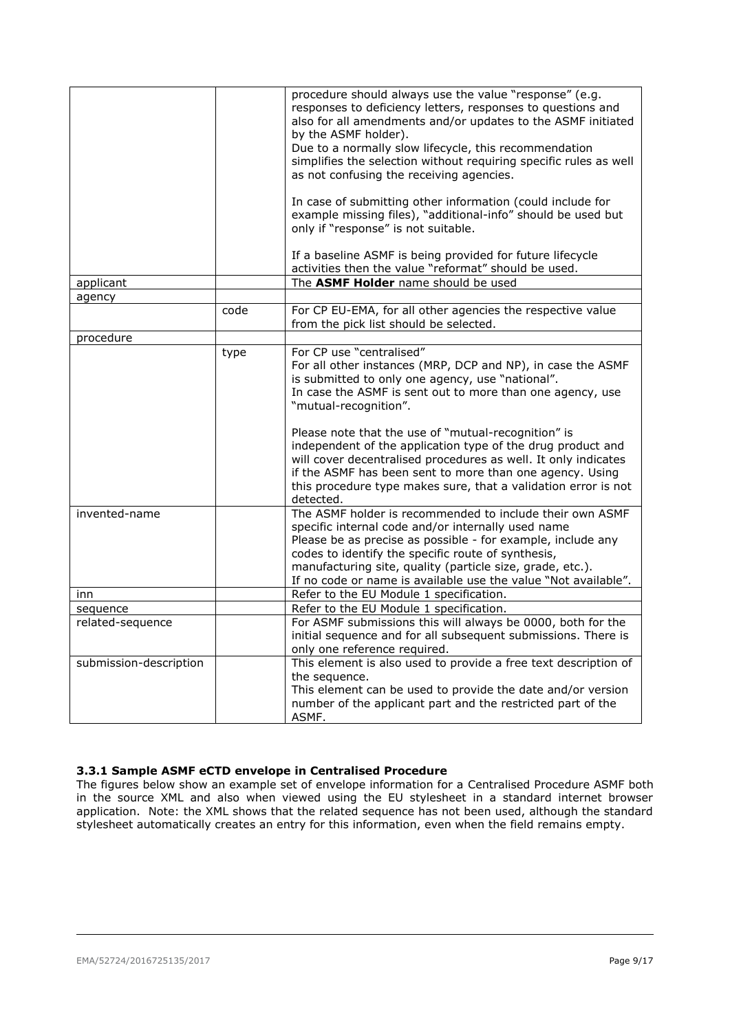|                        |      | procedure should always use the value "response" (e.g.<br>responses to deficiency letters, responses to questions and<br>also for all amendments and/or updates to the ASMF initiated<br>by the ASMF holder).<br>Due to a normally slow lifecycle, this recommendation<br>simplifies the selection without requiring specific rules as well<br>as not confusing the receiving agencies.<br>In case of submitting other information (could include for<br>example missing files), "additional-info" should be used but<br>only if "response" is not suitable. |
|------------------------|------|--------------------------------------------------------------------------------------------------------------------------------------------------------------------------------------------------------------------------------------------------------------------------------------------------------------------------------------------------------------------------------------------------------------------------------------------------------------------------------------------------------------------------------------------------------------|
|                        |      | If a baseline ASMF is being provided for future lifecycle<br>activities then the value "reformat" should be used.                                                                                                                                                                                                                                                                                                                                                                                                                                            |
| applicant              |      | The ASMF Holder name should be used                                                                                                                                                                                                                                                                                                                                                                                                                                                                                                                          |
| agency                 |      |                                                                                                                                                                                                                                                                                                                                                                                                                                                                                                                                                              |
|                        | code | For CP EU-EMA, for all other agencies the respective value<br>from the pick list should be selected.                                                                                                                                                                                                                                                                                                                                                                                                                                                         |
| procedure              |      |                                                                                                                                                                                                                                                                                                                                                                                                                                                                                                                                                              |
|                        | type | For CP use "centralised"<br>For all other instances (MRP, DCP and NP), in case the ASMF<br>is submitted to only one agency, use "national".<br>In case the ASMF is sent out to more than one agency, use<br>"mutual-recognition".                                                                                                                                                                                                                                                                                                                            |
|                        |      | Please note that the use of "mutual-recognition" is<br>independent of the application type of the drug product and<br>will cover decentralised procedures as well. It only indicates<br>if the ASMF has been sent to more than one agency. Using<br>this procedure type makes sure, that a validation error is not<br>detected.                                                                                                                                                                                                                              |
| invented-name          |      | The ASMF holder is recommended to include their own ASMF<br>specific internal code and/or internally used name<br>Please be as precise as possible - for example, include any<br>codes to identify the specific route of synthesis,<br>manufacturing site, quality (particle size, grade, etc.).<br>If no code or name is available use the value "Not available".                                                                                                                                                                                           |
| inn                    |      | Refer to the EU Module 1 specification.                                                                                                                                                                                                                                                                                                                                                                                                                                                                                                                      |
| sequence               |      | Refer to the EU Module 1 specification.                                                                                                                                                                                                                                                                                                                                                                                                                                                                                                                      |
| related-sequence       |      | For ASMF submissions this will always be 0000, both for the<br>initial sequence and for all subsequent submissions. There is<br>only one reference required.                                                                                                                                                                                                                                                                                                                                                                                                 |
| submission-description |      | This element is also used to provide a free text description of<br>the sequence.<br>This element can be used to provide the date and/or version<br>number of the applicant part and the restricted part of the<br>ASMF.                                                                                                                                                                                                                                                                                                                                      |

## <span id="page-8-0"></span>**3.3.1 Sample ASMF eCTD envelope in Centralised Procedure**

The figures below show an example set of envelope information for a Centralised Procedure ASMF both in the source XML and also when viewed using the EU stylesheet in a standard internet browser application. Note: the XML shows that the related sequence has not been used, although the standard stylesheet automatically creates an entry for this information, even when the field remains empty.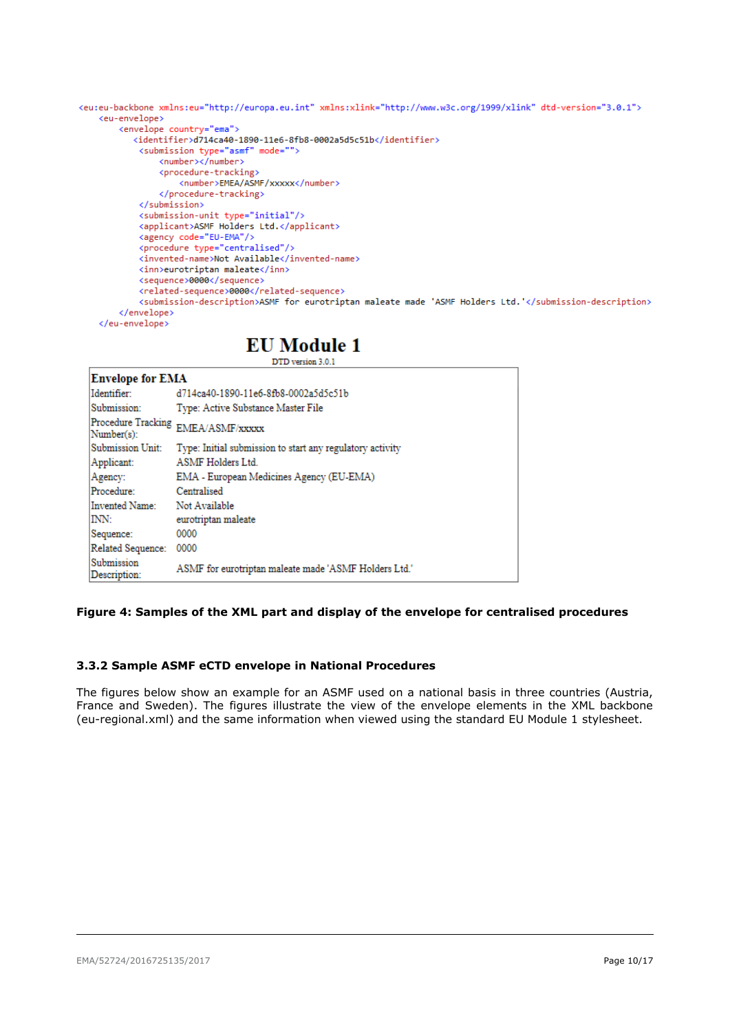```
<eu:eu-backbone xmlns:eu="http://europa.eu.int" xmlns:xlink="http://www.w3c.org/1999/xlink" dtd-version="3.0.1">
   <eu-envelope>
        <envelope country="ema">
           <identifier>d714ca40-1890-11e6-8fb8-0002a5d5c51b</identifier>
            <submission type="asmf" mode="">
                <number></number>
                <procedure-tracking>
                   <number>EMEA/ASMF/xxxxx</number>
               </procedure-tracking>
            </submission>
            <submission-unit type="initial"/>
            <applicant>ASMF Holders Ltd.</applicant>
            <agency code="EU-EMA"/>
            <procedure type="centralised"/>
            <invented-name>Not Available</invented-name>
            <inn>eurotriptan maleate</inn>
            <sequence>0000</sequence>
            <related-sequence>0000</related-sequence>
            <submission-description>ASMF for eurotriptan maleate made 'ASMF Holders Ltd.'</submission-description>
        </envelope>
   </eu-envelope>
```
## **EU Module 1**

DTD version 3.0.1

| <b>Envelope for EMA</b>    |                                                                                                                                                                                                                                                                                                                                                                                                                                                                                                                                                                                                                                                                                                                                                                                                                                                                                                                                                         |
|----------------------------|---------------------------------------------------------------------------------------------------------------------------------------------------------------------------------------------------------------------------------------------------------------------------------------------------------------------------------------------------------------------------------------------------------------------------------------------------------------------------------------------------------------------------------------------------------------------------------------------------------------------------------------------------------------------------------------------------------------------------------------------------------------------------------------------------------------------------------------------------------------------------------------------------------------------------------------------------------|
| Identifier:                | d714ca40-1890-11e6-8fb8-0002a5d5c51b                                                                                                                                                                                                                                                                                                                                                                                                                                                                                                                                                                                                                                                                                                                                                                                                                                                                                                                    |
| Submission:                | Type: Active Substance Master File                                                                                                                                                                                                                                                                                                                                                                                                                                                                                                                                                                                                                                                                                                                                                                                                                                                                                                                      |
| Number(s):                 | $[Proceedure Tracking\_EMEA/ASMF/xxxxx]% \label{thm:1} \centering \includegraphics[width=0.7\columnwidth]{figures/h1} \caption{The number of samples of the data and the number of samples of the data. The number of samples of the data are shown in the left panel. The number of samples of the data are shown in the right panel. The number of samples of the data is shown in the right panel. The number of samples of the data is shown in the right panel. The number of samples of the data is shown in the right panel. The number of samples of the data is shown in the right panel. The number of samples of the data is shown in the right panel. The number of samples of the data is shown in the right panel. The number of samples of the data is shown in the right panel. The number of samples of the data is shown in the right panel. The number of samples of the data is shown in the right panel. The number of samples of$ |
| Submission Unit:           | Type: Initial submission to start any regulatory activity                                                                                                                                                                                                                                                                                                                                                                                                                                                                                                                                                                                                                                                                                                                                                                                                                                                                                               |
| Applicant:                 | <b>ASMF</b> Holders Ltd.                                                                                                                                                                                                                                                                                                                                                                                                                                                                                                                                                                                                                                                                                                                                                                                                                                                                                                                                |
| Agency:                    | EMA - European Medicines Agency (EU-EMA)                                                                                                                                                                                                                                                                                                                                                                                                                                                                                                                                                                                                                                                                                                                                                                                                                                                                                                                |
| Procedure:                 | Centralised                                                                                                                                                                                                                                                                                                                                                                                                                                                                                                                                                                                                                                                                                                                                                                                                                                                                                                                                             |
| Invented Name:             | Not Available                                                                                                                                                                                                                                                                                                                                                                                                                                                                                                                                                                                                                                                                                                                                                                                                                                                                                                                                           |
| INN:                       | eurotriptan maleate                                                                                                                                                                                                                                                                                                                                                                                                                                                                                                                                                                                                                                                                                                                                                                                                                                                                                                                                     |
| Sequence:                  | 0000                                                                                                                                                                                                                                                                                                                                                                                                                                                                                                                                                                                                                                                                                                                                                                                                                                                                                                                                                    |
| <b>Related Sequence:</b>   | 0000                                                                                                                                                                                                                                                                                                                                                                                                                                                                                                                                                                                                                                                                                                                                                                                                                                                                                                                                                    |
| Submission<br>Description: | ASMF for eurotriptan maleate made 'ASMF Holders Ltd.'                                                                                                                                                                                                                                                                                                                                                                                                                                                                                                                                                                                                                                                                                                                                                                                                                                                                                                   |

## **Figure 4: Samples of the XML part and display of the envelope for centralised procedures**

## <span id="page-9-0"></span>**3.3.2 Sample ASMF eCTD envelope in National Procedures**

The figures below show an example for an ASMF used on a national basis in three countries (Austria, France and Sweden). The figures illustrate the view of the envelope elements in the XML backbone (eu-regional.xml) and the same information when viewed using the standard EU Module 1 stylesheet.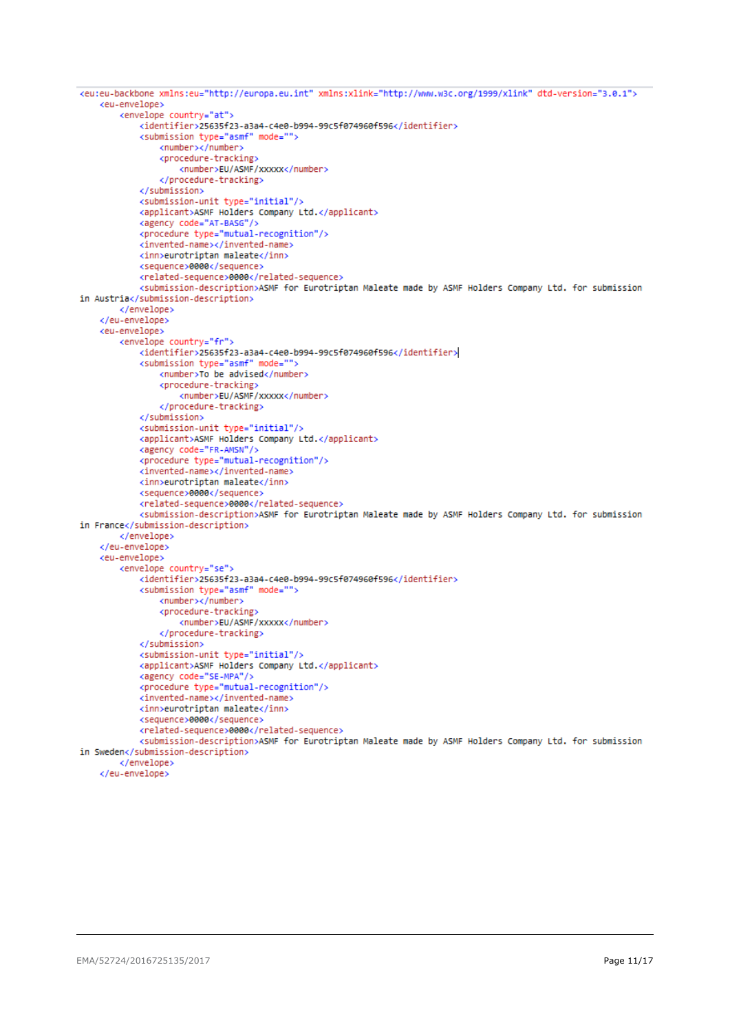```
<eu:eu-backbone xmlns:eu="http://europa.eu.int" xmlns:xlink="http://www.w3c.org/1999/xlink" dtd-version="3.0.1">
    ceuvenvelones
        <envelope country="at">
            <identifier>25635f23-a3a4-c4e0-b994-99c5f074960f596</identifier>
            <submission type="asmf" mode="">
                <number></number>
                <procedure-tracking>
                    <number>EU/ASMF/xxxxx</number>
                </procedure-tracking>
            \epsilon/submissions
            <submission-unit type="initial"/>
            <applicant>ASMF Holders Company Ltd.</applicant>
            <agency code="AT-BASG"/>
            <procedure type="mutual-recognition"/>
            <invented-name></invented-name>
            <inn>eurotriptan_maleate</inn>
            <sequence>0000</sequence>
            <related-sequence>0000</related-sequence>
            <submission-description>ASMF for Eurotriptan Maleate made by ASMF Holders Company Ltd. for submission
in Austria</submission-description>
        </envelope>
    </eu-envelope>
    keu-envelope>
        <envelope country="fr">
            <identifier>25635f23-a3a4-c4e0-b994-99c5f074960f596</identifier>
            <submission type="asmf" mode="">
                <number>To be advised</number>
                <procedure-tracking>
                    <number>EU/ASMF/xxxxx</number>
                </procedure-tracking>
            </submission>
            <submission-unit_tyne="initial"/>
            <applicant>ASMF Holders Company Ltd.</applicant>
            <agency code="FR-AMSN"/>
            <procedure type="mutual-recognition"/>
            <invented-name></invented-name>
            <inn>eurotriptan maleate</inn>
            <sequence>0000</sequence>
            <related-sequence>0000</related-sequence>
            <submission-description>ASMF for Eurotriptan Maleate made by ASMF Holders Company Ltd. for submission
in France</submission-description>
        </envelope>
    </eu-envelope>
    <eu-envelope>
        <envelope country="se">
            <identifier>25635f23-a3a4-c4e0-b994-99c5f074960f596</identifier>
            <submission type="asmf" mode="
                <number></number>
                <procedure-tracking>
                    <number>EU/ASMF/xxxxx</number>
                </procedure-tracking>
            </submission>
            <submission-unit type="initial"/>
            <applicant>ASMF Holders Company Ltd.</applicant>
            <agency code="SE-MPA"/>
            <procedure type="mutual-recognition"/>
            <invented-name></invented-name>
            <inn>eurotriptan maleate</inn>
            <sequence>0000</sequence>
            <related-sequence>0000</related-sequence>
            <submission-description>ASMF for Eurotriptan Maleate made by ASMF Holders Company Ltd. for submission
in Sweden</submission-description>
        </envelope>
    </eu-envelope>
```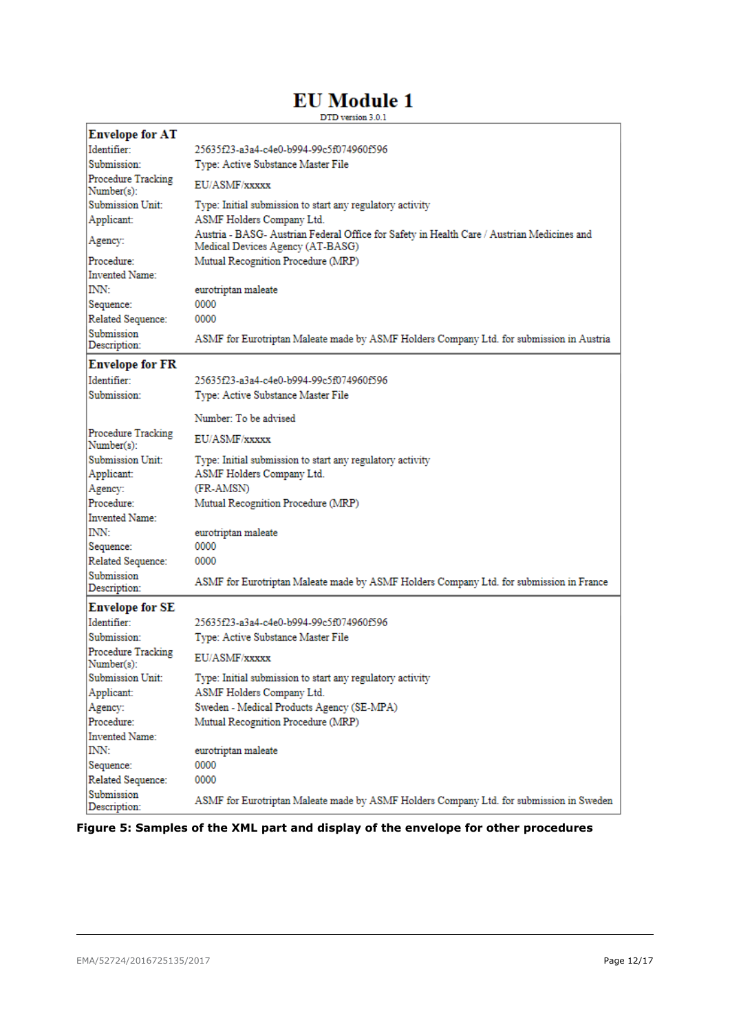# **EU** Module 1

DTD version 3.0.1

| <b>Envelope for AT</b>                  |                                                                                                                                |  |
|-----------------------------------------|--------------------------------------------------------------------------------------------------------------------------------|--|
| Identifier:                             | 25635f23-a3a4-c4e0-b994-99c5f074960f596                                                                                        |  |
| Submission:                             | Type: Active Substance Master File                                                                                             |  |
| <b>Procedure Tracking</b><br>Number(s): | EU/ASMF/xxxxx                                                                                                                  |  |
| Submission Unit:                        | Type: Initial submission to start any regulatory activity                                                                      |  |
| Applicant:                              | ASMF Holders Company Ltd.                                                                                                      |  |
| Agency:                                 | Austria - BASG- Austrian Federal Office for Safety in Health Care / Austrian Medicines and<br>Medical Devices Agency (AT-BASG) |  |
| Procedure:                              | Mutual Recognition Procedure (MRP)                                                                                             |  |
| Invented Name:                          |                                                                                                                                |  |
| INN:                                    | eurotriptan maleate                                                                                                            |  |
| Sequence:                               | 0000                                                                                                                           |  |
| Related Sequence:                       | 0000                                                                                                                           |  |
| Submission<br>Description:              | ASMF for Eurotriptan Maleate made by ASMF Holders Company Ltd. for submission in Austria                                       |  |
| <b>Envelope for FR</b>                  |                                                                                                                                |  |
| Identifier:                             | 25635f23-a3a4-c4e0-b994-99c5f074960f596                                                                                        |  |
| Submission:                             | Type: Active Substance Master File                                                                                             |  |
|                                         | Number: To be advised                                                                                                          |  |
| <b>Procedure Tracking</b><br>Number(s): | EU/ASMF/xxxxx                                                                                                                  |  |
| Submission Unit:                        | Type: Initial submission to start any regulatory activity                                                                      |  |
| Applicant:                              | ASMF Holders Company Ltd.                                                                                                      |  |
| Agency:                                 | (FR-AMSN)                                                                                                                      |  |
| Procedure:                              | Mutual Recognition Procedure (MRP)                                                                                             |  |
| <b>Invented Name:</b>                   |                                                                                                                                |  |
| INN:                                    | eurotriptan maleate                                                                                                            |  |
| Sequence:                               | 0000                                                                                                                           |  |
| Related Sequence:                       | 0000                                                                                                                           |  |
| Submission                              |                                                                                                                                |  |
| Description:                            | ASMF for Eurotriptan Maleate made by ASMF Holders Company Ltd. for submission in France                                        |  |
| <b>Envelope for SE</b>                  |                                                                                                                                |  |
| Identifier:                             | 25635f23-a3a4-c4e0-b994-99c5f074960f596                                                                                        |  |
| Submission:                             | Type: Active Substance Master File                                                                                             |  |
| Procedure Tracking<br>Number(s):        | EU/ASMF/xxxxx                                                                                                                  |  |
| <b>Submission Unit:</b>                 | Type: Initial submission to start any regulatory activity                                                                      |  |
| Applicant:                              | ASMF Holders Company Ltd.                                                                                                      |  |
| Agency:                                 | Sweden - Medical Products Agency (SE-MPA)                                                                                      |  |
| Procedure:                              | Mutual Recognition Procedure (MRP)                                                                                             |  |
| Invented Name:                          |                                                                                                                                |  |
| INN:                                    | eurotriptan maleate                                                                                                            |  |
| Sequence:                               | 0000                                                                                                                           |  |
| Related Sequence:                       | 0000                                                                                                                           |  |
| Submission<br>Description:              | ASMF for Eurotriptan Maleate made by ASMF Holders Company Ltd. for submission in Sweden                                        |  |

**Figure 5: Samples of the XML part and display of the envelope for other procedures**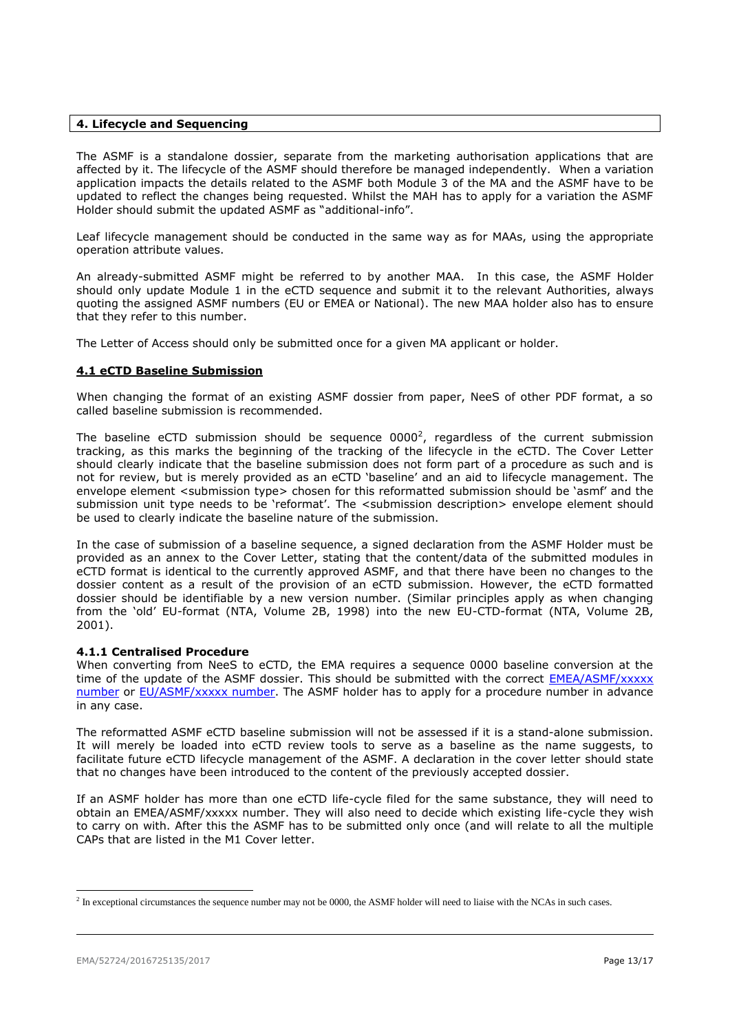#### <span id="page-12-0"></span>**4. Lifecycle and Sequencing**

The ASMF is a standalone dossier, separate from the marketing authorisation applications that are affected by it. The lifecycle of the ASMF should therefore be managed independently. When a variation application impacts the details related to the ASMF both Module 3 of the MA and the ASMF have to be updated to reflect the changes being requested. Whilst the MAH has to apply for a variation the ASMF Holder should submit the updated ASMF as "additional-info".

Leaf lifecycle management should be conducted in the same way as for MAAs, using the appropriate operation attribute values.

An already-submitted ASMF might be referred to by another MAA. In this case, the ASMF Holder should only update Module 1 in the eCTD sequence and submit it to the relevant Authorities, always quoting the assigned ASMF numbers (EU or EMEA or National). The new MAA holder also has to ensure that they refer to this number.

The Letter of Access should only be submitted once for a given MA applicant or holder.

## <span id="page-12-1"></span>**4.1 eCTD Baseline Submission**

When changing the format of an existing ASMF dossier from paper, NeeS of other PDF format, a so called baseline submission is recommended.

The baseline eCTD submission should be sequence  $0000^2$ , regardless of the current submission tracking, as this marks the beginning of the tracking of the lifecycle in the eCTD. The Cover Letter should clearly indicate that the baseline submission does not form part of a procedure as such and is not for review, but is merely provided as an eCTD 'baseline' and an aid to lifecycle management. The envelope element <submission type> chosen for this reformatted submission should be 'asmf' and the submission unit type needs to be 'reformat'. The <submission description> envelope element should be used to clearly indicate the baseline nature of the submission.

In the case of submission of a baseline sequence, a signed declaration from the ASMF Holder must be provided as an annex to the Cover Letter, stating that the content/data of the submitted modules in eCTD format is identical to the currently approved ASMF, and that there have been no changes to the dossier content as a result of the provision of an eCTD submission. However, the eCTD formatted dossier should be identifiable by a new version number. (Similar principles apply as when changing from the 'old' EU-format (NTA, Volume 2B, 1998) into the new EU-CTD-format (NTA, Volume 2B, 2001).

## <span id="page-12-2"></span>**4.1.1 Centralised Procedure**

When converting from NeeS to eCTD, the EMA requires a sequence 0000 baseline conversion at the time of the update of the ASMF dossier. This should be submitted with the correct EMEA/ASMF/xxxxx [number](http://www.ema.europa.eu/docs/en_GB/document_library/Template_or_form/2013/08/WC500147835.doc) or [EU/ASMF/xxxxx](http://www.hma.eu/306.html) number. The ASMF holder has to apply for a procedure number in advance in any case.

The reformatted ASMF eCTD baseline submission will not be assessed if it is a stand-alone submission. It will merely be loaded into eCTD review tools to serve as a baseline as the name suggests, to facilitate future eCTD lifecycle management of the ASMF. A declaration in the cover letter should state that no changes have been introduced to the content of the previously accepted dossier.

If an ASMF holder has more than one eCTD life-cycle filed for the same substance, they will need to obtain an EMEA/ASMF/xxxxx number. They will also need to decide which existing life-cycle they wish to carry on with. After this the ASMF has to be submitted only once (and will relate to all the multiple CAPs that are listed in the M1 Cover letter.

l

 $<sup>2</sup>$  In exceptional circumstances the sequence number may not be 0000, the ASMF holder will need to liaise with the NCAs in such cases.</sup>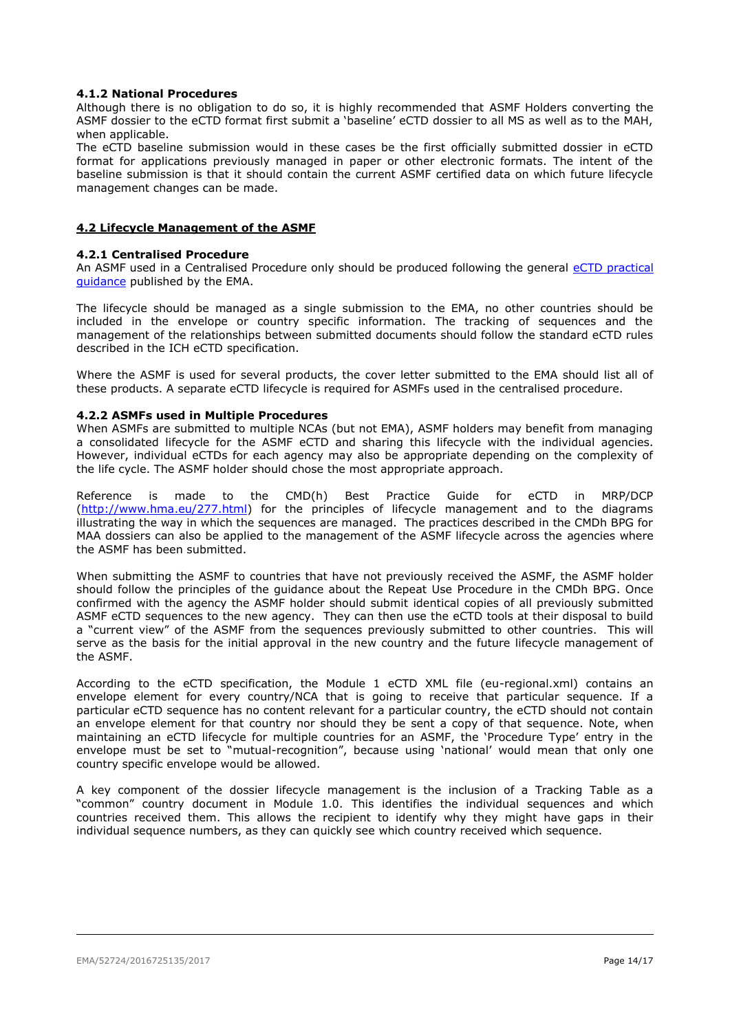## <span id="page-13-0"></span>**4.1.2 National Procedures**

Although there is no obligation to do so, it is highly recommended that ASMF Holders converting the ASMF dossier to the eCTD format first submit a 'baseline' eCTD dossier to all MS as well as to the MAH, when applicable.

The eCTD baseline submission would in these cases be the first officially submitted dossier in eCTD format for applications previously managed in paper or other electronic formats. The intent of the baseline submission is that it should contain the current ASMF certified data on which future lifecycle management changes can be made.

#### <span id="page-13-1"></span>**4.2 Lifecycle Management of the ASMF**

#### <span id="page-13-2"></span>**4.2.1 Centralised Procedure**

An ASMF used in a Centralised Procedure only should be produced following the general eCTD [practical](http://www.ema.europa.eu/docs/en_GB/document_library/Regulatory_and_procedural_guideline/2009/10/WC500004095.pdf)  [guidance](http://www.ema.europa.eu/docs/en_GB/document_library/Regulatory_and_procedural_guideline/2009/10/WC500004095.pdf) published by the EMA.

The lifecycle should be managed as a single submission to the EMA, no other countries should be included in the envelope or country specific information. The tracking of sequences and the management of the relationships between submitted documents should follow the standard eCTD rules described in the ICH eCTD specification.

Where the ASMF is used for several products, the cover letter submitted to the EMA should list all of these products. A separate eCTD lifecycle is required for ASMFs used in the centralised procedure.

#### <span id="page-13-3"></span>**4.2.2 ASMFs used in Multiple Procedures**

When ASMFs are submitted to multiple NCAs (but not EMA), ASMF holders may benefit from managing a consolidated lifecycle for the ASMF eCTD and sharing this lifecycle with the individual agencies. However, individual eCTDs for each agency may also be appropriate depending on the complexity of the life cycle. The ASMF holder should chose the most appropriate approach.

Reference is made to the CMD(h) Best Practice Guide for eCTD in MRP/DCP [\(http://www.hma.eu/277.html\)](http://www.hma.eu/277.html) for the principles of lifecycle management and to the diagrams illustrating the way in which the sequences are managed. The practices described in the CMDh BPG for MAA dossiers can also be applied to the management of the ASMF lifecycle across the agencies where the ASMF has been submitted.

When submitting the ASMF to countries that have not previously received the ASMF, the ASMF holder should follow the principles of the guidance about the Repeat Use Procedure in the CMDh BPG. Once confirmed with the agency the ASMF holder should submit identical copies of all previously submitted ASMF eCTD sequences to the new agency. They can then use the eCTD tools at their disposal to build a "current view" of the ASMF from the sequences previously submitted to other countries. This will serve as the basis for the initial approval in the new country and the future lifecycle management of the ASMF.

According to the eCTD specification, the Module 1 eCTD XML file (eu-regional.xml) contains an envelope element for every country/NCA that is going to receive that particular sequence. If a particular eCTD sequence has no content relevant for a particular country, the eCTD should not contain an envelope element for that country nor should they be sent a copy of that sequence. Note, when maintaining an eCTD lifecycle for multiple countries for an ASMF, the 'Procedure Type' entry in the envelope must be set to "mutual-recognition", because using 'national' would mean that only one country specific envelope would be allowed.

A key component of the dossier lifecycle management is the inclusion of a Tracking Table as a "common" country document in Module 1.0. This identifies the individual sequences and which countries received them. This allows the recipient to identify why they might have gaps in their individual sequence numbers, as they can quickly see which country received which sequence.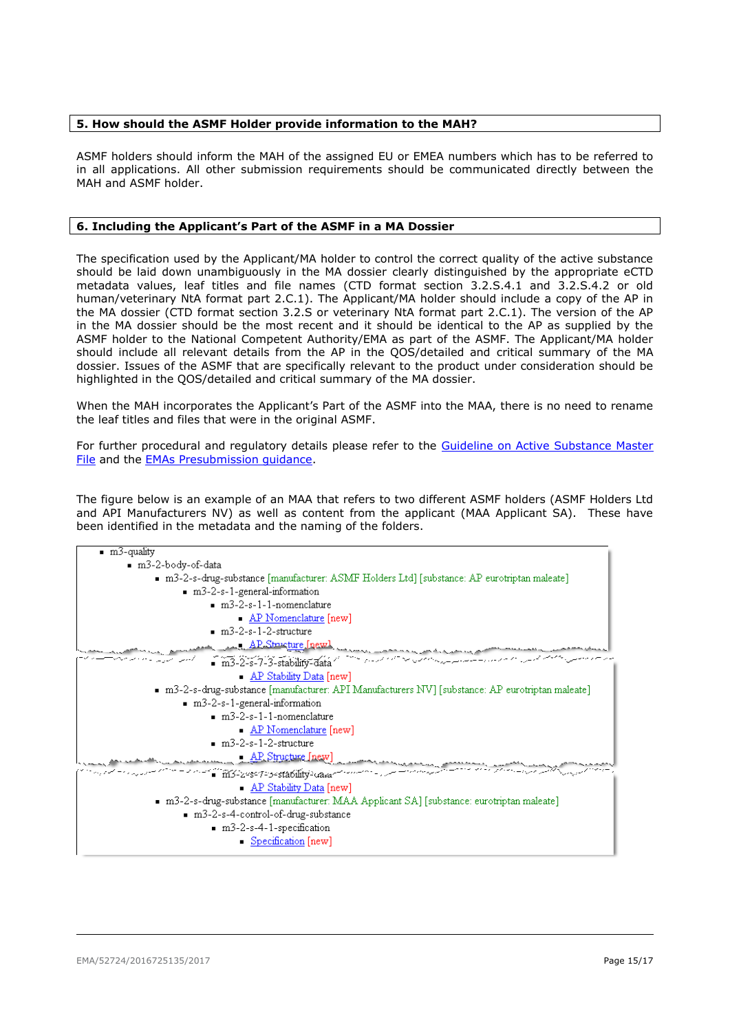## <span id="page-14-0"></span>**5. How should the ASMF Holder provide information to the MAH?**

ASMF holders should inform the MAH of the assigned EU or EMEA numbers which has to be referred to in all applications. All other submission requirements should be communicated directly between the MAH and ASMF holder.

#### <span id="page-14-1"></span>**6. Including the Applicant's Part of the ASMF in a MA Dossier**

The specification used by the Applicant/MA holder to control the correct quality of the active substance should be laid down unambiguously in the MA dossier clearly distinguished by the appropriate eCTD metadata values, leaf titles and file names (CTD format section 3.2.S.4.1 and 3.2.S.4.2 or old human/veterinary NtA format part 2.C.1). The Applicant/MA holder should include a copy of the AP in the MA dossier (CTD format section 3.2.S or veterinary NtA format part 2.C.1). The version of the AP in the MA dossier should be the most recent and it should be identical to the AP as supplied by the ASMF holder to the National Competent Authority/EMA as part of the ASMF. The Applicant/MA holder should include all relevant details from the AP in the QOS/detailed and critical summary of the MA dossier. Issues of the ASMF that are specifically relevant to the product under consideration should be highlighted in the QOS/detailed and critical summary of the MA dossier.

When the MAH incorporates the Applicant's Part of the ASMF into the MAA, there is no need to rename the leaf titles and files that were in the original ASMF.

For further procedural and regulatory details please refer to the [Guideline on Active Substance Master](http://www.ema.europa.eu/docs/en_GB/document_library/Scientific_guideline/2012/07/WC500129994.pdf)  [File](http://www.ema.europa.eu/docs/en_GB/document_library/Scientific_guideline/2012/07/WC500129994.pdf) and the [EMAs Presubmission guidance.](http://www.ema.europa.eu/ema/index.jsp?curl=pages/regulation/q_and_a/q_and_a_detail_000167.jsp&mid=WC0b01ac0580b18196)

The figure below is an example of an MAA that refers to two different ASMF holders (ASMF Holders Ltd and API Manufacturers NV) as well as content from the applicant (MAA Applicant SA). These have been identified in the metadata and the naming of the folders.

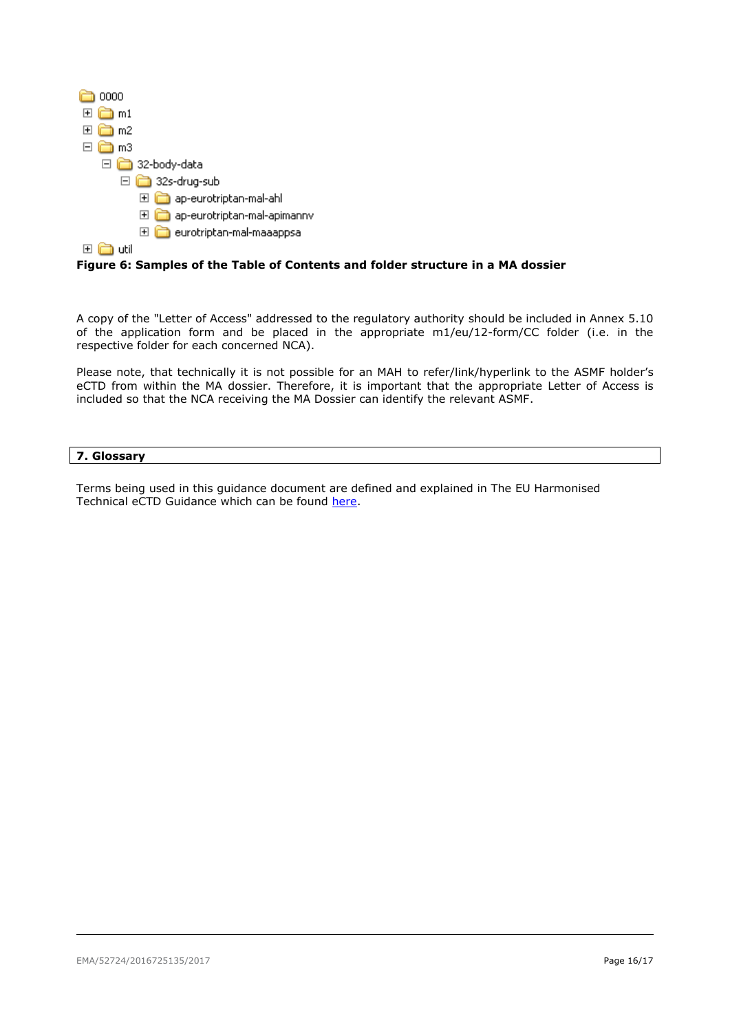

**Figure 6: Samples of the Table of Contents and folder structure in a MA dossier**

A copy of the "Letter of Access" addressed to the regulatory authority should be included in Annex 5.10 of the application form and be placed in the appropriate m1/eu/12-form/CC folder (i.e. in the respective folder for each concerned NCA).

Please note, that technically it is not possible for an MAH to refer/link/hyperlink to the ASMF holder's eCTD from within the MA dossier. Therefore, it is important that the appropriate Letter of Access is included so that the NCA receiving the MA Dossier can identify the relevant ASMF.

## <span id="page-15-0"></span>**7. Glossary**

Terms being used in this guidance document are defined and explained in The EU Harmonised Technical eCTD Guidance which can be found [here.](http://esubmission.ema.europa.eu/tiges/cmbdocumentation.html)